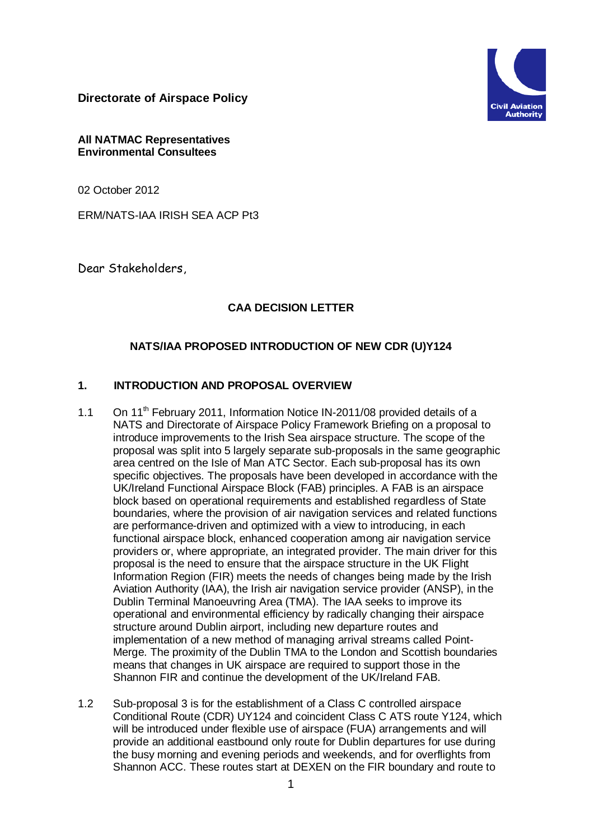**Directorate of Airspace Policy**



#### **All NATMAC Representatives Environmental Consultees**

02 October 2012

ERM/NATS-IAA IRISH SEA ACP Pt3

Dear Stakeholders,

## **CAA DECISION LETTER**

## **NATS/IAA PROPOSED INTRODUCTION OF NEW CDR (U)Y124**

## **1. INTRODUCTION AND PROPOSAL OVERVIEW**

- 1.1 On 11<sup>th</sup> February 2011, Information Notice IN-2011/08 provided details of a NATS and Directorate of Airspace Policy Framework Briefing on a proposal to introduce improvements to the Irish Sea airspace structure. The scope of the proposal was split into 5 largely separate sub-proposals in the same geographic area centred on the Isle of Man ATC Sector. Each sub-proposal has its own specific objectives. The proposals have been developed in accordance with the UK/Ireland Functional Airspace Block (FAB) principles. A FAB is an airspace block based on operational requirements and established regardless of State boundaries, where the provision of air navigation services and related functions are performance-driven and optimized with a view to introducing, in each functional airspace block, enhanced cooperation among air navigation service providers or, where appropriate, an integrated provider. The main driver for this proposal is the need to ensure that the airspace structure in the UK Flight Information Region (FIR) meets the needs of changes being made by the Irish Aviation Authority (IAA), the Irish air navigation service provider (ANSP), in the Dublin Terminal Manoeuvring Area (TMA). The IAA seeks to improve its operational and environmental efficiency by radically changing their airspace structure around Dublin airport, including new departure routes and implementation of a new method of managing arrival streams called Point-Merge. The proximity of the Dublin TMA to the London and Scottish boundaries means that changes in UK airspace are required to support those in the Shannon FIR and continue the development of the UK/Ireland FAB.
- 1.2 Sub-proposal 3 is for the establishment of a Class C controlled airspace Conditional Route (CDR) UY124 and coincident Class C ATS route Y124, which will be introduced under flexible use of airspace (FUA) arrangements and will provide an additional eastbound only route for Dublin departures for use during the busy morning and evening periods and weekends, and for overflights from Shannon ACC. These routes start at DEXEN on the FIR boundary and route to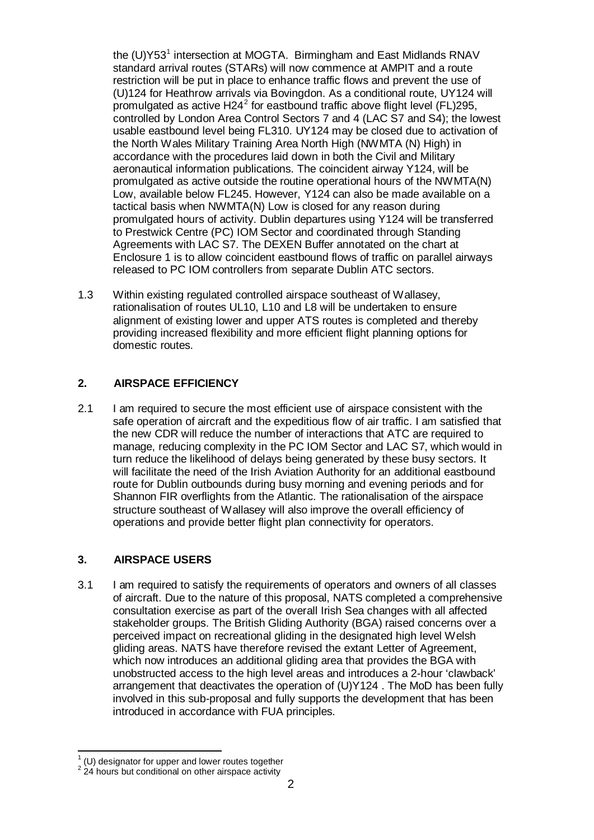the (U)Y53<sup>[1](#page-1-0)</sup> intersection at MOGTA. Birmingham and East Midlands RNAV standard arrival routes (STARs) will now commence at AMPIT and a route restriction will be put in place to enhance traffic flows and prevent the use of (U)124 for Heathrow arrivals via Bovingdon. As a conditional route, UY124 will promulgated as active H[2](#page-1-1)4 $^2$  for eastbound traffic above flight level (FL)295, controlled by London Area Control Sectors 7 and 4 (LAC S7 and S4); the lowest usable eastbound level being FL310. UY124 may be closed due to activation of the North Wales Military Training Area North High (NWMTA (N) High) in accordance with the procedures laid down in both the Civil and Military aeronautical information publications. The coincident airway Y124, will be promulgated as active outside the routine operational hours of the NWMTA(N) Low, available below FL245. However, Y124 can also be made available on a tactical basis when NWMTA(N) Low is closed for any reason during promulgated hours of activity. Dublin departures using Y124 will be transferred to Prestwick Centre (PC) IOM Sector and coordinated through Standing Agreements with LAC S7. The DEXEN Buffer annotated on the chart at Enclosure 1 is to allow coincident eastbound flows of traffic on parallel airways released to PC IOM controllers from separate Dublin ATC sectors.

1.3 Within existing regulated controlled airspace southeast of Wallasey, rationalisation of routes UL10, L10 and L8 will be undertaken to ensure alignment of existing lower and upper ATS routes is completed and thereby providing increased flexibility and more efficient flight planning options for domestic routes.

### **2. AIRSPACE EFFICIENCY**

2.1 I am required to secure the most efficient use of airspace consistent with the safe operation of aircraft and the expeditious flow of air traffic. I am satisfied that the new CDR will reduce the number of interactions that ATC are required to manage, reducing complexity in the PC IOM Sector and LAC S7, which would in turn reduce the likelihood of delays being generated by these busy sectors. It will facilitate the need of the Irish Aviation Authority for an additional eastbound route for Dublin outbounds during busy morning and evening periods and for Shannon FIR overflights from the Atlantic. The rationalisation of the airspace structure southeast of Wallasey will also improve the overall efficiency of operations and provide better flight plan connectivity for operators.

## **3. AIRSPACE USERS**

3.1 I am required to satisfy the requirements of operators and owners of all classes of aircraft. Due to the nature of this proposal, NATS completed a comprehensive consultation exercise as part of the overall Irish Sea changes with all affected stakeholder groups. The British Gliding Authority (BGA) raised concerns over a perceived impact on recreational gliding in the designated high level Welsh gliding areas. NATS have therefore revised the extant Letter of Agreement, which now introduces an additional gliding area that provides the BGA with unobstructed access to the high level areas and introduces a 2-hour 'clawback' arrangement that deactivates the operation of (U)Y124 . The MoD has been fully involved in this sub-proposal and fully supports the development that has been introduced in accordance with FUA principles.

<span id="page-1-1"></span><span id="page-1-0"></span> $1$  (U) designator for upper and lower routes together  $2$  24 hours but conditional on other airspace activity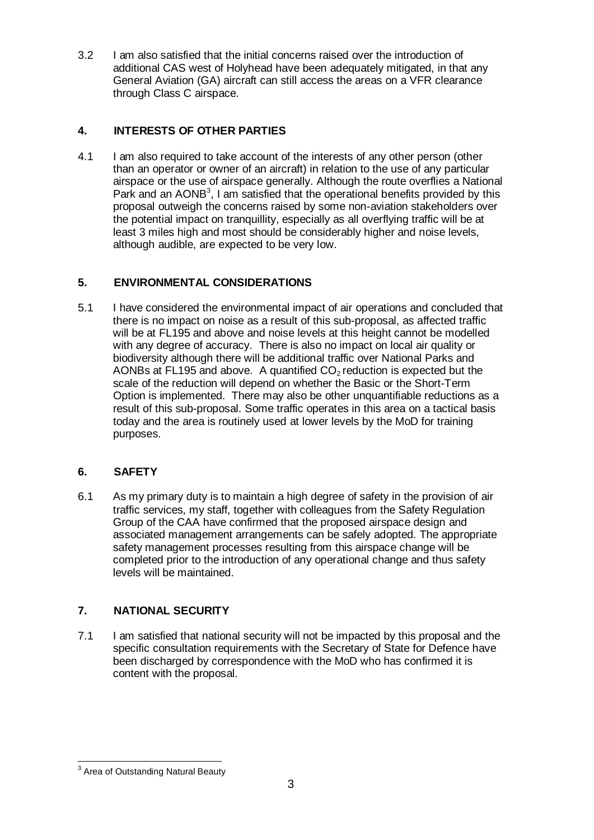3.2 I am also satisfied that the initial concerns raised over the introduction of additional CAS west of Holyhead have been adequately mitigated, in that any General Aviation (GA) aircraft can still access the areas on a VFR clearance through Class C airspace.

## **4. INTERESTS OF OTHER PARTIES**

4.1 I am also required to take account of the interests of any other person (other than an operator or owner of an aircraft) in relation to the use of any particular airspace or the use of airspace generally. Although the route overflies a National Park and an  $AONB<sup>3</sup>$  $AONB<sup>3</sup>$  $AONB<sup>3</sup>$ , I am satisfied that the operational benefits provided by this proposal outweigh the concerns raised by some non-aviation stakeholders over the potential impact on tranquillity, especially as all overflying traffic will be at least 3 miles high and most should be considerably higher and noise levels, although audible, are expected to be very low.

## **5. ENVIRONMENTAL CONSIDERATIONS**

5.1 I have considered the environmental impact of air operations and concluded that there is no impact on noise as a result of this sub-proposal, as affected traffic will be at FL195 and above and noise levels at this height cannot be modelled with any degree of accuracy. There is also no impact on local air quality or biodiversity although there will be additional traffic over National Parks and AONBs at FL195 and above. A quantified  $CO<sub>2</sub>$  reduction is expected but the scale of the reduction will depend on whether the Basic or the Short-Term Option is implemented. There may also be other unquantifiable reductions as a result of this sub-proposal. Some traffic operates in this area on a tactical basis today and the area is routinely used at lower levels by the MoD for training purposes.

## **6. SAFETY**

6.1 As my primary duty is to maintain a high degree of safety in the provision of air traffic services, my staff, together with colleagues from the Safety Regulation Group of the CAA have confirmed that the proposed airspace design and associated management arrangements can be safely adopted. The appropriate safety management processes resulting from this airspace change will be completed prior to the introduction of any operational change and thus safety levels will be maintained.

# **7. NATIONAL SECURITY**

7.1 I am satisfied that national security will not be impacted by this proposal and the specific consultation requirements with the Secretary of State for Defence have been discharged by correspondence with the MoD who has confirmed it is content with the proposal.

<span id="page-2-0"></span><sup>&</sup>lt;sup>3</sup> Area of Outstanding Natural Beauty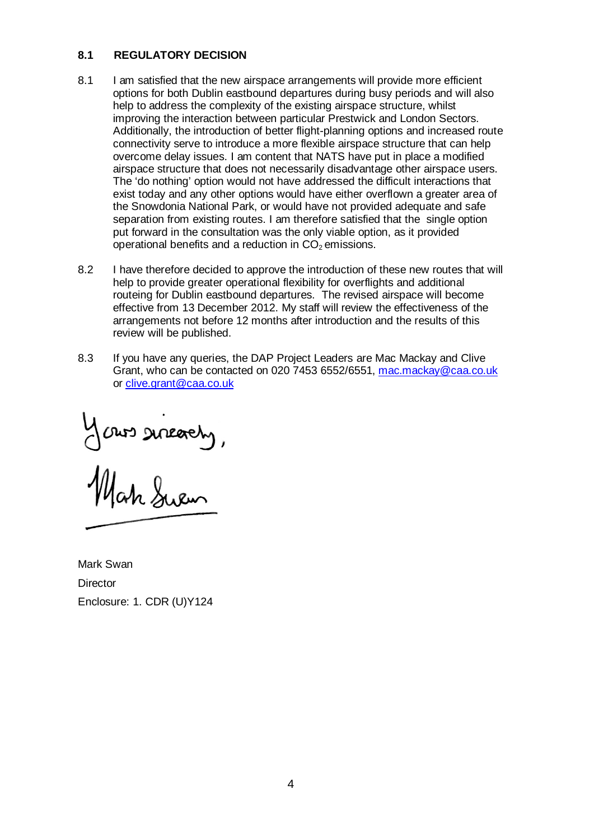#### **8.1 REGULATORY DECISION**

- 8.1 I am satisfied that the new airspace arrangements will provide more efficient options for both Dublin eastbound departures during busy periods and will also help to address the complexity of the existing airspace structure, whilst improving the interaction between particular Prestwick and London Sectors. Additionally, the introduction of better flight-planning options and increased route connectivity serve to introduce a more flexible airspace structure that can help overcome delay issues. I am content that NATS have put in place a modified airspace structure that does not necessarily disadvantage other airspace users. The 'do nothing' option would not have addressed the difficult interactions that exist today and any other options would have either overflown a greater area of the Snowdonia National Park, or would have not provided adequate and safe separation from existing routes. I am therefore satisfied that the single option put forward in the consultation was the only viable option, as it provided operational benefits and a reduction in  $CO<sub>2</sub>$  emissions.
- 8.2 I have therefore decided to approve the introduction of these new routes that will help to provide greater operational flexibility for overflights and additional routeing for Dublin eastbound departures. The revised airspace will become effective from 13 December 2012. My staff will review the effectiveness of the arrangements not before 12 months after introduction and the results of this review will be published.
- 8.3 If you have any queries, the DAP Project Leaders are Mac Mackay and Clive Grant, who can be contacted on 020 7453 6552/6551, [mac.mackay@caa.co.uk](mailto:mac.mackay@caa.co.uk) or [clive.grant@caa.co.uk](mailto:clive.grant@caa.co.uk)

Jours sureachy,

Mark Swan **Director** Enclosure: 1. CDR (U)Y124